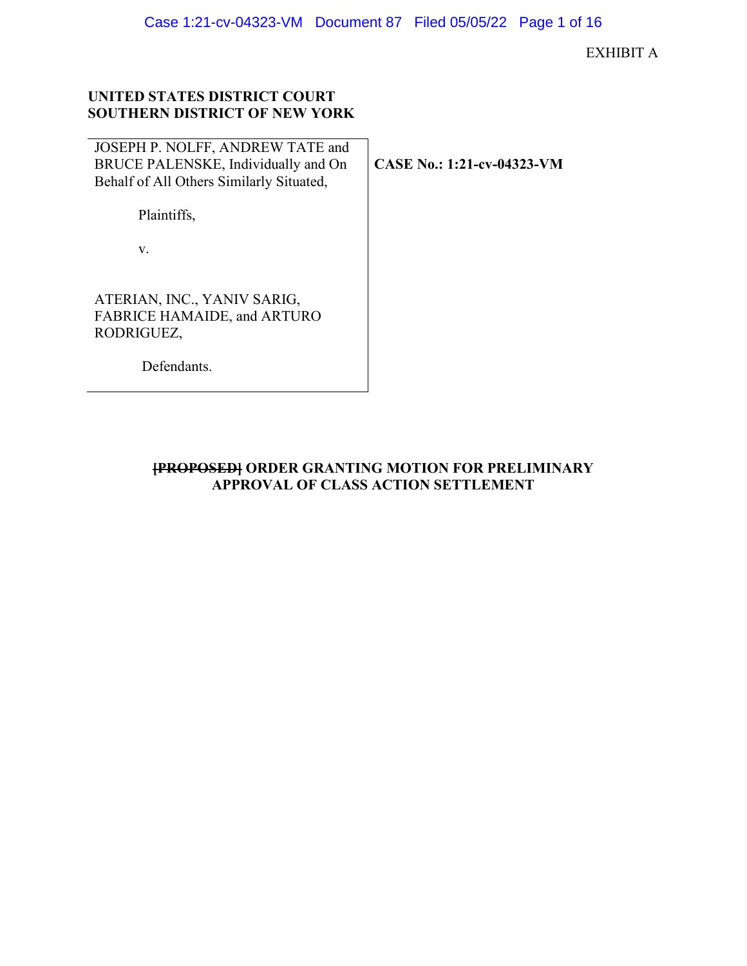# **UNITED STATES DISTRICT COURT SOUTHERN DISTRICT OF NEW YORK**

| JOSEPH P. NOLFF, ANDREW TATE and<br>BRUCE PALENSKE, Individually and On<br>Behalf of All Others Similarly Situated, | CASE No.: 1:21-cv-04323-VM |
|---------------------------------------------------------------------------------------------------------------------|----------------------------|
| Plaintiffs,                                                                                                         |                            |
| V.                                                                                                                  |                            |
| ATERIAN, INC., YANIV SARIG,<br>FABRICE HAMAIDE, and ARTURO<br>RODRIGUEZ,<br>Defendants.                             |                            |

# **[PROPOSED] ORDER GRANTING MOTION FOR PRELIMINARY APPROVAL OF CLASS ACTION SETTLEMENT**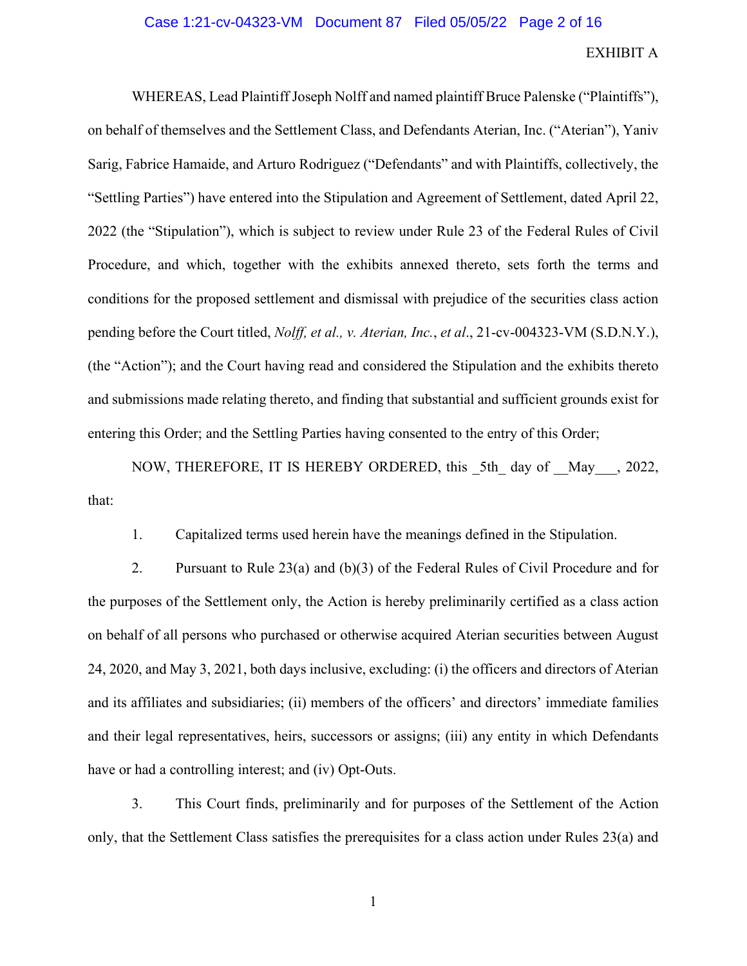### Case 1:21-cv-04323-VM Document 87 Filed 05/05/22 Page 2 of 16

## EXHIBIT A

WHEREAS, Lead Plaintiff Joseph Nolff and named plaintiff Bruce Palenske ("Plaintiffs"), on behalf of themselves and the Settlement Class, and Defendants Aterian, Inc. ("Aterian"), Yaniv Sarig, Fabrice Hamaide, and Arturo Rodriguez ("Defendants" and with Plaintiffs, collectively, the "Settling Parties") have entered into the Stipulation and Agreement of Settlement, dated April 22, 2022 (the "Stipulation"), which is subject to review under Rule 23 of the Federal Rules of Civil Procedure, and which, together with the exhibits annexed thereto, sets forth the terms and conditions for the proposed settlement and dismissal with prejudice of the securities class action pending before the Court titled, *Nolff, et al., v. Aterian, Inc.*, *et al*., 21-cv-004323-VM (S.D.N.Y.), (the "Action"); and the Court having read and considered the Stipulation and the exhibits thereto and submissions made relating thereto, and finding that substantial and sufficient grounds exist for entering this Order; and the Settling Parties having consented to the entry of this Order;

NOW, THEREFORE, IT IS HEREBY ORDERED, this 5th day of May , 2022, that:

1. Capitalized terms used herein have the meanings defined in the Stipulation.

2. Pursuant to Rule 23(a) and (b)(3) of the Federal Rules of Civil Procedure and for the purposes of the Settlement only, the Action is hereby preliminarily certified as a class action on behalf of all persons who purchased or otherwise acquired Aterian securities between August 24, 2020, and May 3, 2021, both days inclusive, excluding: (i) the officers and directors of Aterian and its affiliates and subsidiaries; (ii) members of the officers' and directors' immediate families and their legal representatives, heirs, successors or assigns; (iii) any entity in which Defendants have or had a controlling interest; and (iv) Opt-Outs.

3. This Court finds, preliminarily and for purposes of the Settlement of the Action only, that the Settlement Class satisfies the prerequisites for a class action under Rules 23(a) and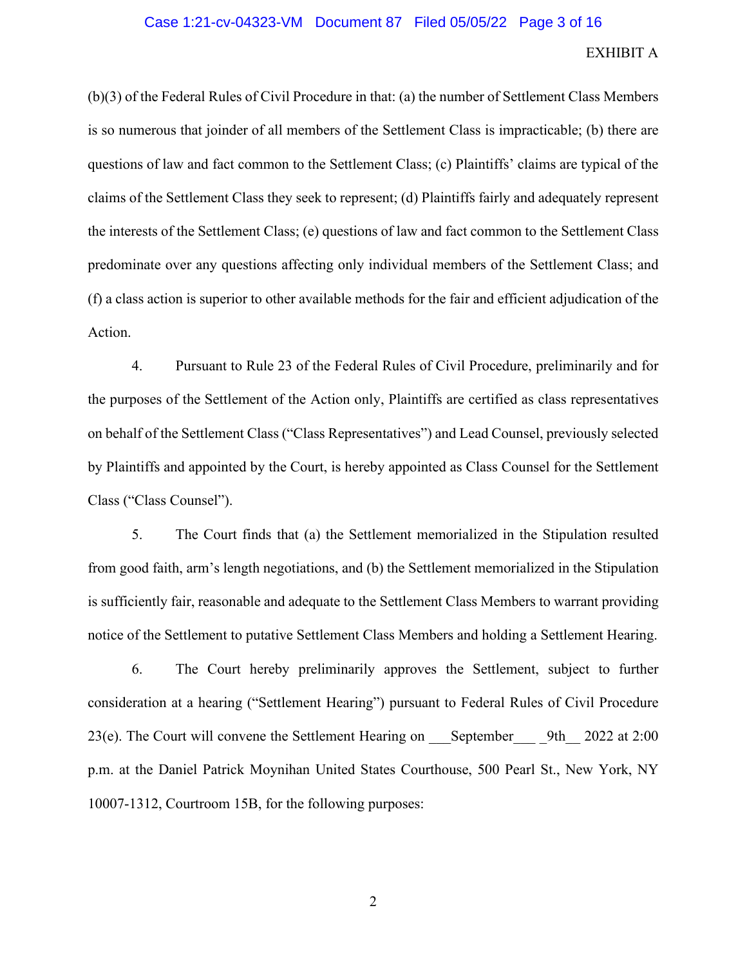(b)(3) of the Federal Rules of Civil Procedure in that: (a) the number of Settlement Class Members is so numerous that joinder of all members of the Settlement Class is impracticable; (b) there are questions of law and fact common to the Settlement Class; (c) Plaintiffs' claims are typical of the claims of the Settlement Class they seek to represent; (d) Plaintiffs fairly and adequately represent the interests of the Settlement Class; (e) questions of law and fact common to the Settlement Class predominate over any questions affecting only individual members of the Settlement Class; and (f) a class action is superior to other available methods for the fair and efficient adjudication of the Action.

4. Pursuant to Rule 23 of the Federal Rules of Civil Procedure, preliminarily and for the purposes of the Settlement of the Action only, Plaintiffs are certified as class representatives on behalf of the Settlement Class ("Class Representatives") and Lead Counsel, previously selected by Plaintiffs and appointed by the Court, is hereby appointed as Class Counsel for the Settlement Class ("Class Counsel").

5. The Court finds that (a) the Settlement memorialized in the Stipulation resulted from good faith, arm's length negotiations, and (b) the Settlement memorialized in the Stipulation is sufficiently fair, reasonable and adequate to the Settlement Class Members to warrant providing notice of the Settlement to putative Settlement Class Members and holding a Settlement Hearing.

6. The Court hereby preliminarily approves the Settlement, subject to further consideration at a hearing ("Settlement Hearing") pursuant to Federal Rules of Civil Procedure 23(e). The Court will convene the Settlement Hearing on September 9th 2022 at 2:00 p.m. at the Daniel Patrick Moynihan United States Courthouse, 500 Pearl St., New York, NY 10007-1312, Courtroom 15B, for the following purposes: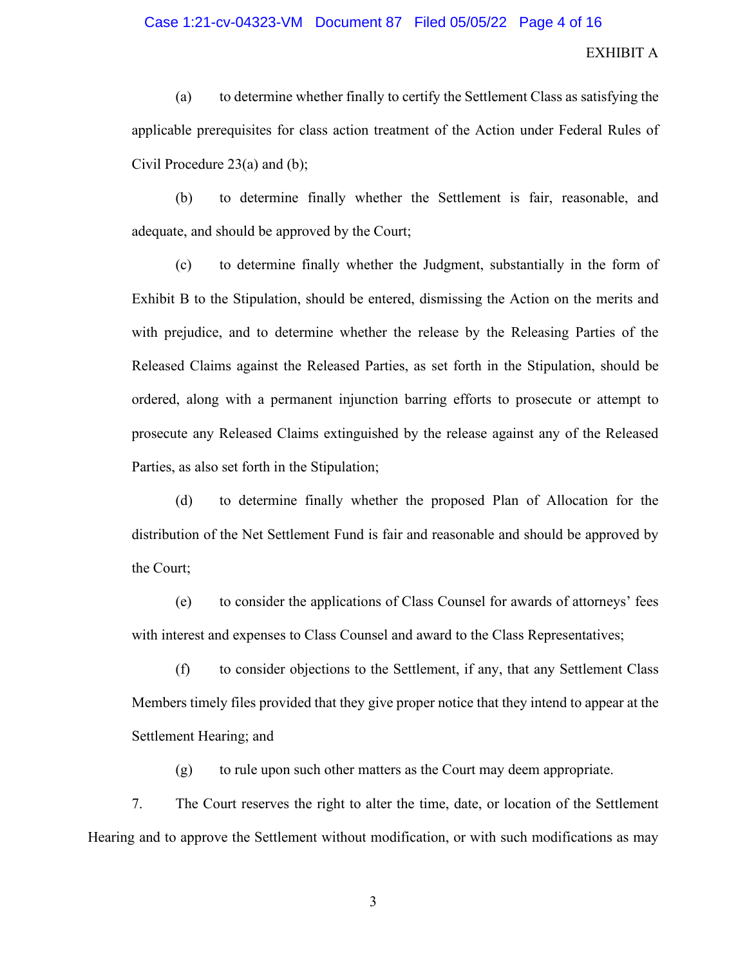### Case 1:21-cv-04323-VM Document 87 Filed 05/05/22 Page 4 of 16

# EXHIBIT A

(a) to determine whether finally to certify the Settlement Class as satisfying the applicable prerequisites for class action treatment of the Action under Federal Rules of Civil Procedure 23(a) and (b);

(b) to determine finally whether the Settlement is fair, reasonable, and adequate, and should be approved by the Court;

(c) to determine finally whether the Judgment, substantially in the form of Exhibit B to the Stipulation, should be entered, dismissing the Action on the merits and with prejudice, and to determine whether the release by the Releasing Parties of the Released Claims against the Released Parties, as set forth in the Stipulation, should be ordered, along with a permanent injunction barring efforts to prosecute or attempt to prosecute any Released Claims extinguished by the release against any of the Released Parties, as also set forth in the Stipulation;

(d) to determine finally whether the proposed Plan of Allocation for the distribution of the Net Settlement Fund is fair and reasonable and should be approved by the Court;

(e) to consider the applications of Class Counsel for awards of attorneys' fees with interest and expenses to Class Counsel and award to the Class Representatives;

(f) to consider objections to the Settlement, if any, that any Settlement Class Members timely files provided that they give proper notice that they intend to appear at the Settlement Hearing; and

(g) to rule upon such other matters as the Court may deem appropriate.

7. The Court reserves the right to alter the time, date, or location of the Settlement Hearing and to approve the Settlement without modification, or with such modifications as may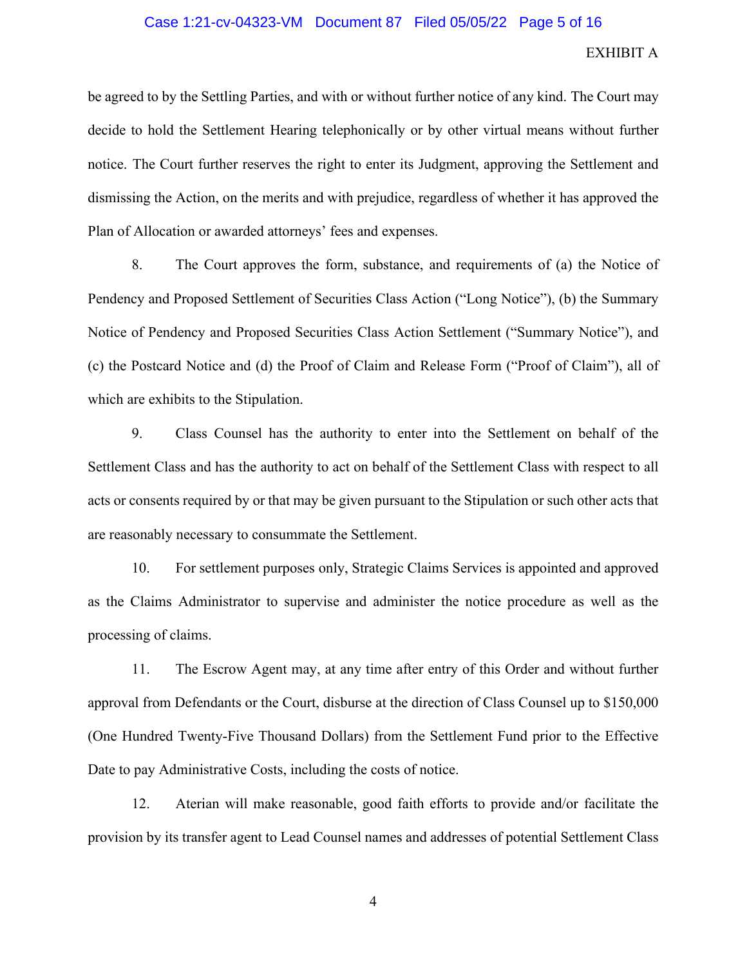### Case 1:21-cv-04323-VM Document 87 Filed 05/05/22 Page 5 of 16

### EXHIBIT A

be agreed to by the Settling Parties, and with or without further notice of any kind. The Court may decide to hold the Settlement Hearing telephonically or by other virtual means without further notice. The Court further reserves the right to enter its Judgment, approving the Settlement and dismissing the Action, on the merits and with prejudice, regardless of whether it has approved the Plan of Allocation or awarded attorneys' fees and expenses.

8. The Court approves the form, substance, and requirements of (a) the Notice of Pendency and Proposed Settlement of Securities Class Action ("Long Notice"), (b) the Summary Notice of Pendency and Proposed Securities Class Action Settlement ("Summary Notice"), and (c) the Postcard Notice and (d) the Proof of Claim and Release Form ("Proof of Claim"), all of which are exhibits to the Stipulation.

9. Class Counsel has the authority to enter into the Settlement on behalf of the Settlement Class and has the authority to act on behalf of the Settlement Class with respect to all acts or consents required by or that may be given pursuant to the Stipulation or such other acts that are reasonably necessary to consummate the Settlement.

10. For settlement purposes only, Strategic Claims Services is appointed and approved as the Claims Administrator to supervise and administer the notice procedure as well as the processing of claims.

11. The Escrow Agent may, at any time after entry of this Order and without further approval from Defendants or the Court, disburse at the direction of Class Counsel up to \$150,000 (One Hundred Twenty-Five Thousand Dollars) from the Settlement Fund prior to the Effective Date to pay Administrative Costs, including the costs of notice.

12. Aterian will make reasonable, good faith efforts to provide and/or facilitate the provision by its transfer agent to Lead Counsel names and addresses of potential Settlement Class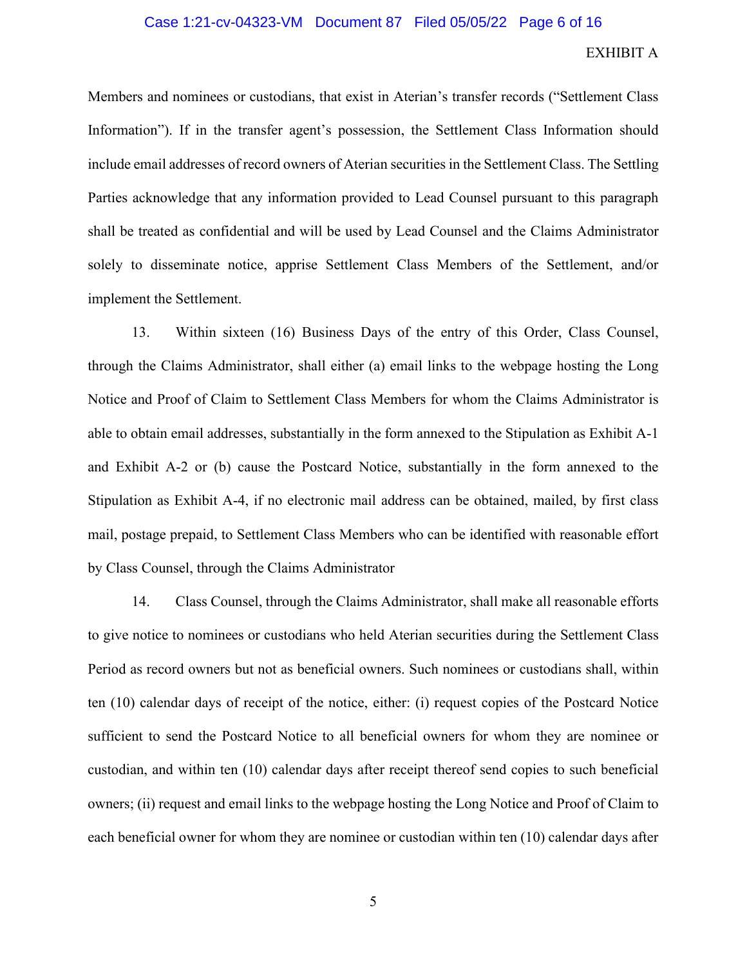### Case 1:21-cv-04323-VM Document 87 Filed 05/05/22 Page 6 of 16

## EXHIBIT A

Members and nominees or custodians, that exist in Aterian's transfer records ("Settlement Class Information"). If in the transfer agent's possession, the Settlement Class Information should include email addresses of record owners of Aterian securities in the Settlement Class. The Settling Parties acknowledge that any information provided to Lead Counsel pursuant to this paragraph shall be treated as confidential and will be used by Lead Counsel and the Claims Administrator solely to disseminate notice, apprise Settlement Class Members of the Settlement, and/or implement the Settlement.

13. Within sixteen (16) Business Days of the entry of this Order, Class Counsel, through the Claims Administrator, shall either (a) email links to the webpage hosting the Long Notice and Proof of Claim to Settlement Class Members for whom the Claims Administrator is able to obtain email addresses, substantially in the form annexed to the Stipulation as Exhibit A-1 and Exhibit A-2 or (b) cause the Postcard Notice, substantially in the form annexed to the Stipulation as Exhibit A-4, if no electronic mail address can be obtained, mailed, by first class mail, postage prepaid, to Settlement Class Members who can be identified with reasonable effort by Class Counsel, through the Claims Administrator

14. Class Counsel, through the Claims Administrator, shall make all reasonable efforts to give notice to nominees or custodians who held Aterian securities during the Settlement Class Period as record owners but not as beneficial owners. Such nominees or custodians shall, within ten (10) calendar days of receipt of the notice, either: (i) request copies of the Postcard Notice sufficient to send the Postcard Notice to all beneficial owners for whom they are nominee or custodian, and within ten (10) calendar days after receipt thereof send copies to such beneficial owners; (ii) request and email links to the webpage hosting the Long Notice and Proof of Claim to each beneficial owner for whom they are nominee or custodian within ten (10) calendar days after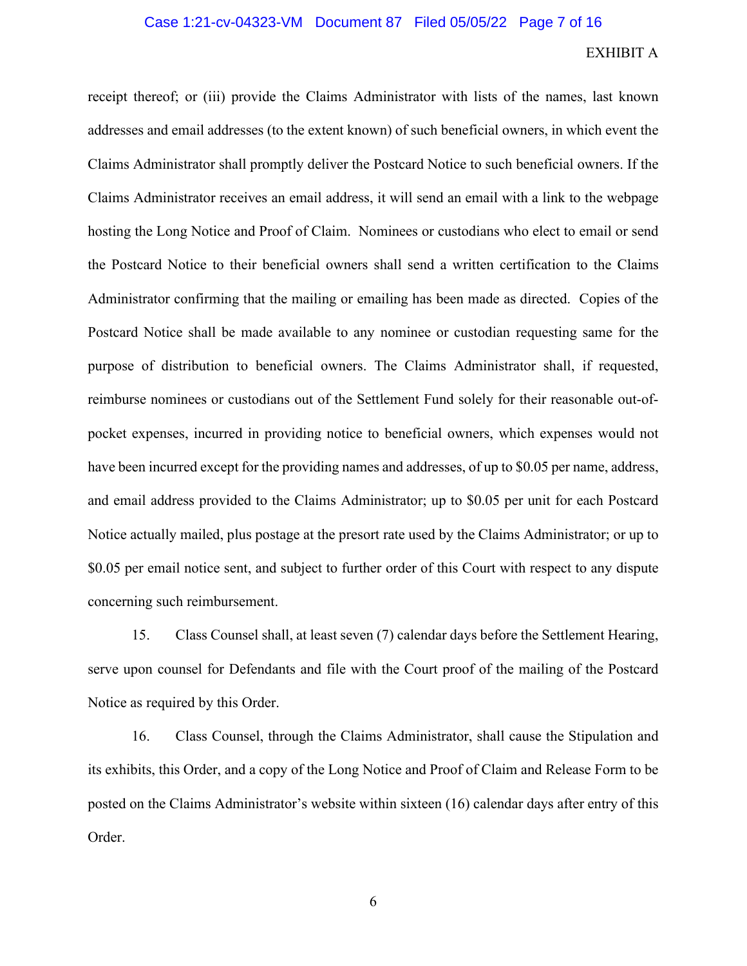receipt thereof; or (iii) provide the Claims Administrator with lists of the names, last known addresses and email addresses (to the extent known) of such beneficial owners, in which event the Claims Administrator shall promptly deliver the Postcard Notice to such beneficial owners. If the Claims Administrator receives an email address, it will send an email with a link to the webpage hosting the Long Notice and Proof of Claim. Nominees or custodians who elect to email or send the Postcard Notice to their beneficial owners shall send a written certification to the Claims Administrator confirming that the mailing or emailing has been made as directed. Copies of the Postcard Notice shall be made available to any nominee or custodian requesting same for the purpose of distribution to beneficial owners. The Claims Administrator shall, if requested, reimburse nominees or custodians out of the Settlement Fund solely for their reasonable out-ofpocket expenses, incurred in providing notice to beneficial owners, which expenses would not have been incurred except for the providing names and addresses, of up to \$0.05 per name, address, and email address provided to the Claims Administrator; up to \$0.05 per unit for each Postcard Notice actually mailed, plus postage at the presort rate used by the Claims Administrator; or up to \$0.05 per email notice sent, and subject to further order of this Court with respect to any dispute concerning such reimbursement.

15. Class Counsel shall, at least seven (7) calendar days before the Settlement Hearing, serve upon counsel for Defendants and file with the Court proof of the mailing of the Postcard Notice as required by this Order.

16. Class Counsel, through the Claims Administrator, shall cause the Stipulation and its exhibits, this Order, and a copy of the Long Notice and Proof of Claim and Release Form to be posted on the Claims Administrator's website within sixteen (16) calendar days after entry of this Order.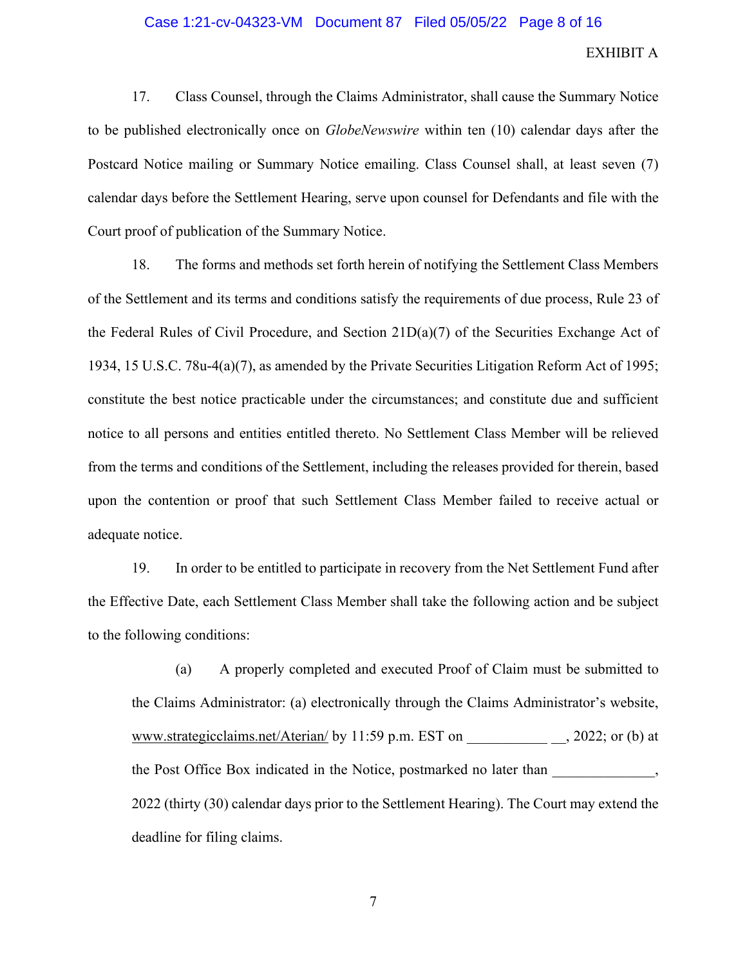### Case 1:21-cv-04323-VM Document 87 Filed 05/05/22 Page 8 of 16

## EXHIBIT A

17. Class Counsel, through the Claims Administrator, shall cause the Summary Notice to be published electronically once on *GlobeNewswire* within ten (10) calendar days after the Postcard Notice mailing or Summary Notice emailing. Class Counsel shall, at least seven (7) calendar days before the Settlement Hearing, serve upon counsel for Defendants and file with the Court proof of publication of the Summary Notice.

18. The forms and methods set forth herein of notifying the Settlement Class Members of the Settlement and its terms and conditions satisfy the requirements of due process, Rule 23 of the Federal Rules of Civil Procedure, and Section 21D(a)(7) of the Securities Exchange Act of 1934, 15 U.S.C. 78u-4(a)(7), as amended by the Private Securities Litigation Reform Act of 1995; constitute the best notice practicable under the circumstances; and constitute due and sufficient notice to all persons and entities entitled thereto. No Settlement Class Member will be relieved from the terms and conditions of the Settlement, including the releases provided for therein, based upon the contention or proof that such Settlement Class Member failed to receive actual or adequate notice.

19. In order to be entitled to participate in recovery from the Net Settlement Fund after the Effective Date, each Settlement Class Member shall take the following action and be subject to the following conditions:

(a) A properly completed and executed Proof of Claim must be submitted to the Claims Administrator: (a) electronically through the Claims Administrator's website, www.strategicclaims.net/Aterian/ by 11:59 p.m. EST on \_\_\_\_\_\_\_\_\_\_\_\_\_\_\_, 2022; or (b) at the Post Office Box indicated in the Notice, postmarked no later than  $\qquad \qquad$ , 2022 (thirty (30) calendar days prior to the Settlement Hearing). The Court may extend the deadline for filing claims.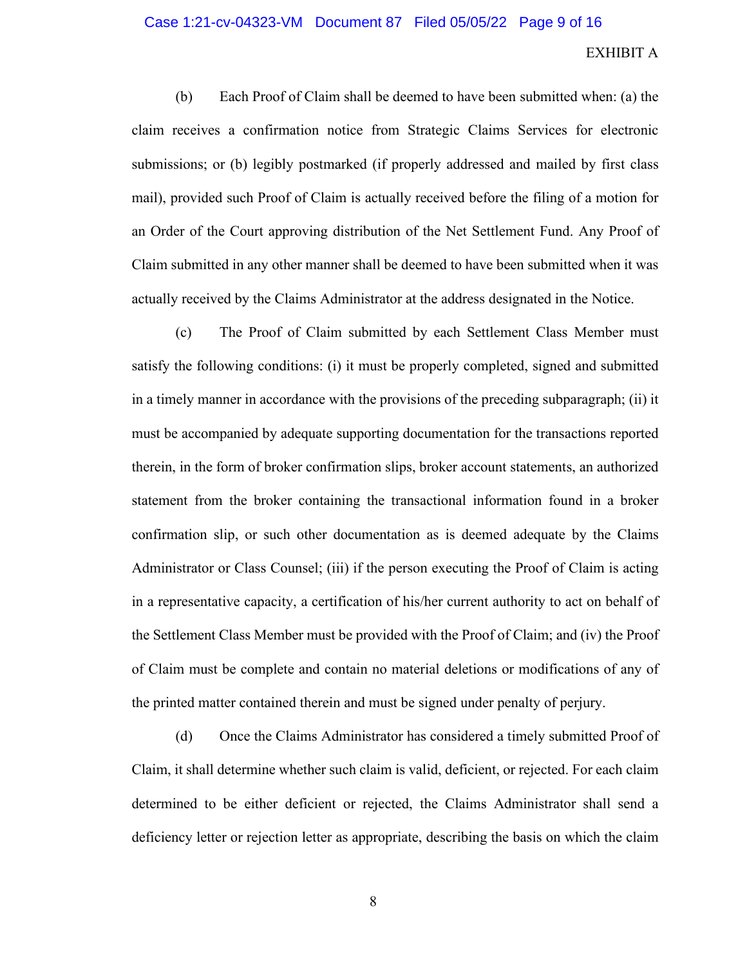### Case 1:21-cv-04323-VM Document 87 Filed 05/05/22 Page 9 of 16

## EXHIBIT A

(b) Each Proof of Claim shall be deemed to have been submitted when: (a) the claim receives a confirmation notice from Strategic Claims Services for electronic submissions; or (b) legibly postmarked (if properly addressed and mailed by first class mail), provided such Proof of Claim is actually received before the filing of a motion for an Order of the Court approving distribution of the Net Settlement Fund. Any Proof of Claim submitted in any other manner shall be deemed to have been submitted when it was actually received by the Claims Administrator at the address designated in the Notice.

(c) The Proof of Claim submitted by each Settlement Class Member must satisfy the following conditions: (i) it must be properly completed, signed and submitted in a timely manner in accordance with the provisions of the preceding subparagraph; (ii) it must be accompanied by adequate supporting documentation for the transactions reported therein, in the form of broker confirmation slips, broker account statements, an authorized statement from the broker containing the transactional information found in a broker confirmation slip, or such other documentation as is deemed adequate by the Claims Administrator or Class Counsel; (iii) if the person executing the Proof of Claim is acting in a representative capacity, a certification of his/her current authority to act on behalf of the Settlement Class Member must be provided with the Proof of Claim; and (iv) the Proof of Claim must be complete and contain no material deletions or modifications of any of the printed matter contained therein and must be signed under penalty of perjury.

(d) Once the Claims Administrator has considered a timely submitted Proof of Claim, it shall determine whether such claim is valid, deficient, or rejected. For each claim determined to be either deficient or rejected, the Claims Administrator shall send a deficiency letter or rejection letter as appropriate, describing the basis on which the claim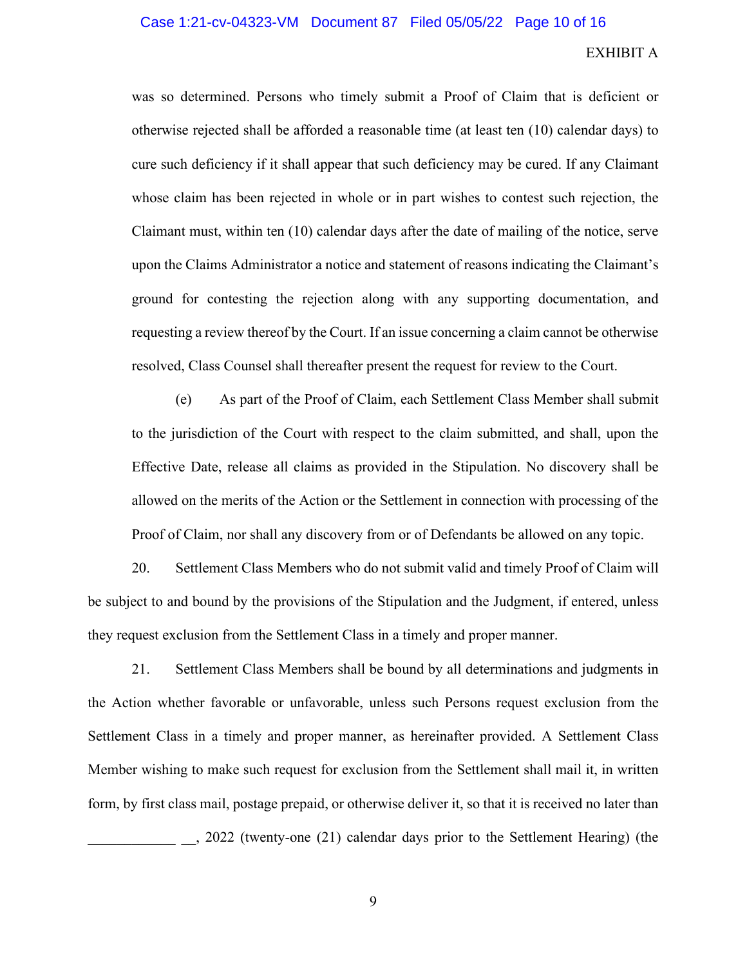was so determined. Persons who timely submit a Proof of Claim that is deficient or otherwise rejected shall be afforded a reasonable time (at least ten (10) calendar days) to cure such deficiency if it shall appear that such deficiency may be cured. If any Claimant whose claim has been rejected in whole or in part wishes to contest such rejection, the Claimant must, within ten (10) calendar days after the date of mailing of the notice, serve upon the Claims Administrator a notice and statement of reasons indicating the Claimant's ground for contesting the rejection along with any supporting documentation, and requesting a review thereof by the Court. If an issue concerning a claim cannot be otherwise resolved, Class Counsel shall thereafter present the request for review to the Court.

(e) As part of the Proof of Claim, each Settlement Class Member shall submit to the jurisdiction of the Court with respect to the claim submitted, and shall, upon the Effective Date, release all claims as provided in the Stipulation. No discovery shall be allowed on the merits of the Action or the Settlement in connection with processing of the Proof of Claim, nor shall any discovery from or of Defendants be allowed on any topic.

20. Settlement Class Members who do not submit valid and timely Proof of Claim will be subject to and bound by the provisions of the Stipulation and the Judgment, if entered, unless they request exclusion from the Settlement Class in a timely and proper manner.

21. Settlement Class Members shall be bound by all determinations and judgments in the Action whether favorable or unfavorable, unless such Persons request exclusion from the Settlement Class in a timely and proper manner, as hereinafter provided. A Settlement Class Member wishing to make such request for exclusion from the Settlement shall mail it, in written form, by first class mail, postage prepaid, or otherwise deliver it, so that it is received no later than \_\_\_\_\_\_\_\_\_\_\_\_ \_\_, 2022 (twenty-one (21) calendar days prior to the Settlement Hearing) (the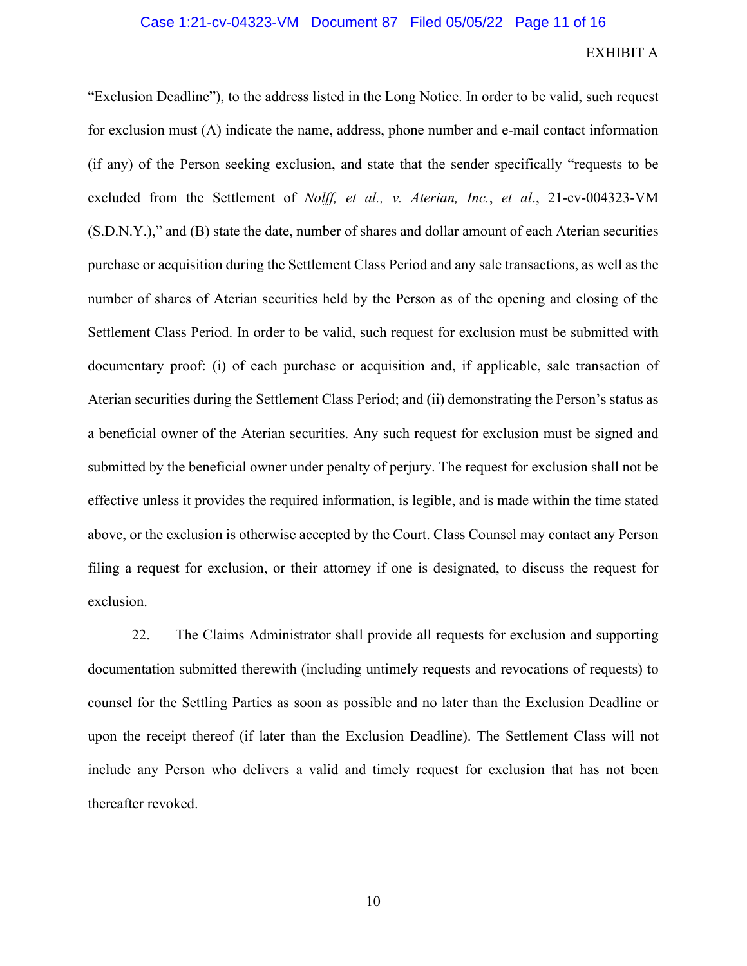"Exclusion Deadline"), to the address listed in the Long Notice. In order to be valid, such request for exclusion must (A) indicate the name, address, phone number and e-mail contact information (if any) of the Person seeking exclusion, and state that the sender specifically "requests to be excluded from the Settlement of *Nolff, et al., v. Aterian, Inc.*, *et al*., 21-cv-004323-VM (S.D.N.Y.)," and (B) state the date, number of shares and dollar amount of each Aterian securities purchase or acquisition during the Settlement Class Period and any sale transactions, as well as the number of shares of Aterian securities held by the Person as of the opening and closing of the Settlement Class Period. In order to be valid, such request for exclusion must be submitted with documentary proof: (i) of each purchase or acquisition and, if applicable, sale transaction of Aterian securities during the Settlement Class Period; and (ii) demonstrating the Person's status as a beneficial owner of the Aterian securities. Any such request for exclusion must be signed and submitted by the beneficial owner under penalty of perjury. The request for exclusion shall not be effective unless it provides the required information, is legible, and is made within the time stated above, or the exclusion is otherwise accepted by the Court. Class Counsel may contact any Person filing a request for exclusion, or their attorney if one is designated, to discuss the request for exclusion.

22. The Claims Administrator shall provide all requests for exclusion and supporting documentation submitted therewith (including untimely requests and revocations of requests) to counsel for the Settling Parties as soon as possible and no later than the Exclusion Deadline or upon the receipt thereof (if later than the Exclusion Deadline). The Settlement Class will not include any Person who delivers a valid and timely request for exclusion that has not been thereafter revoked.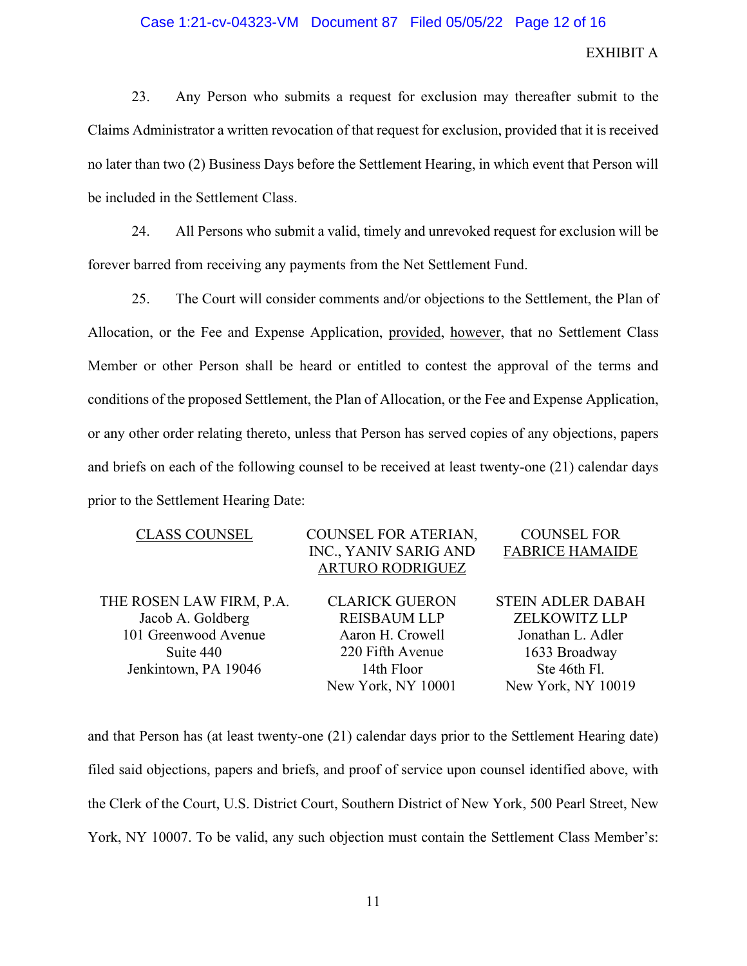# Case 1:21-cv-04323-VM Document 87 Filed 05/05/22 Page 12 of 16

# EXHIBIT A

23. Any Person who submits a request for exclusion may thereafter submit to the Claims Administrator a written revocation of that request for exclusion, provided that it is received no later than two (2) Business Days before the Settlement Hearing, in which event that Person will be included in the Settlement Class.

24. All Persons who submit a valid, timely and unrevoked request for exclusion will be forever barred from receiving any payments from the Net Settlement Fund.

25. The Court will consider comments and/or objections to the Settlement, the Plan of Allocation, or the Fee and Expense Application, provided, however, that no Settlement Class Member or other Person shall be heard or entitled to contest the approval of the terms and conditions of the proposed Settlement, the Plan of Allocation, or the Fee and Expense Application, or any other order relating thereto, unless that Person has served copies of any objections, papers and briefs on each of the following counsel to be received at least twenty-one (21) calendar days prior to the Settlement Hearing Date:

| <b>CLASS COUNSEL</b>     | COUNSEL FOR ATERIAN,    | <b>COUNSEL FOR</b>       |
|--------------------------|-------------------------|--------------------------|
|                          | INC., YANIV SARIG AND   | <b>FABRICE HAMAIDE</b>   |
|                          | <b>ARTURO RODRIGUEZ</b> |                          |
|                          |                         |                          |
| THE ROSEN LAW FIRM, P.A. | <b>CLARICK GUERON</b>   | <b>STEIN ADLER DABAH</b> |
| Jacob A. Goldberg        | <b>REISBAUM LLP</b>     | <b>ZELKOWITZ LLP</b>     |
| 101 Greenwood Avenue     | Aaron H. Crowell        | Jonathan L. Adler        |
| Suite 440                | 220 Fifth Avenue        | 1633 Broadway            |
| Jenkintown, PA 19046     | 14th Floor              | Ste 46th Fl.             |
|                          | New York, NY 10001      | New York, NY 10019       |

and that Person has (at least twenty-one (21) calendar days prior to the Settlement Hearing date) filed said objections, papers and briefs, and proof of service upon counsel identified above, with the Clerk of the Court, U.S. District Court, Southern District of New York, 500 Pearl Street, New York, NY 10007. To be valid, any such objection must contain the Settlement Class Member's: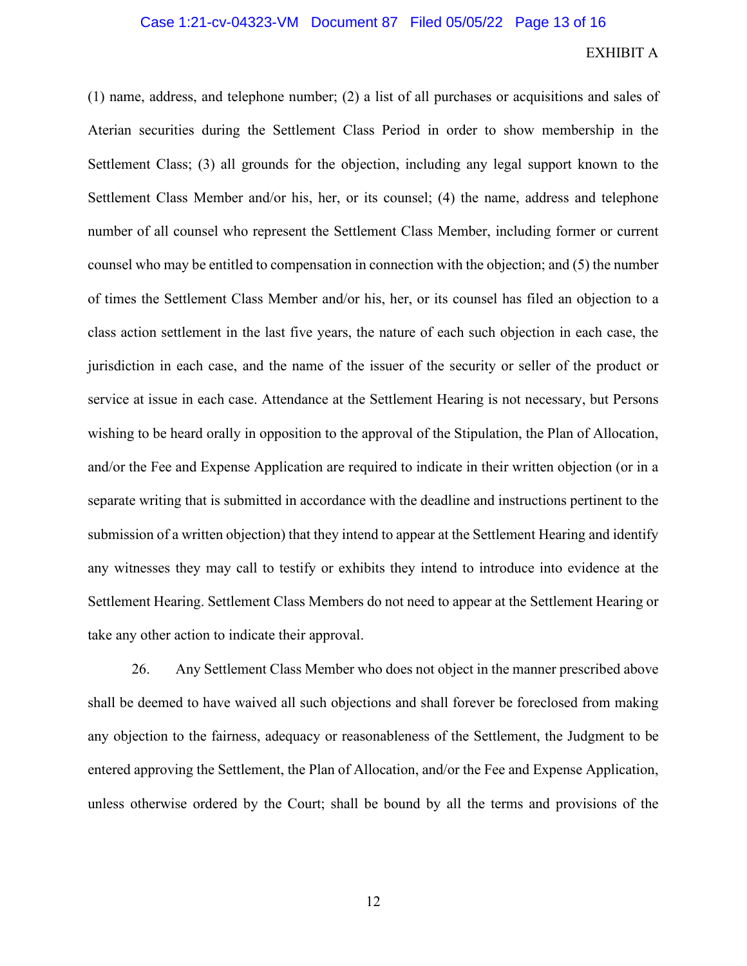(1) name, address, and telephone number; (2) a list of all purchases or acquisitions and sales of Aterian securities during the Settlement Class Period in order to show membership in the Settlement Class; (3) all grounds for the objection, including any legal support known to the Settlement Class Member and/or his, her, or its counsel; (4) the name, address and telephone number of all counsel who represent the Settlement Class Member, including former or current counsel who may be entitled to compensation in connection with the objection; and (5) the number of times the Settlement Class Member and/or his, her, or its counsel has filed an objection to a class action settlement in the last five years, the nature of each such objection in each case, the jurisdiction in each case, and the name of the issuer of the security or seller of the product or service at issue in each case. Attendance at the Settlement Hearing is not necessary, but Persons wishing to be heard orally in opposition to the approval of the Stipulation, the Plan of Allocation, and/or the Fee and Expense Application are required to indicate in their written objection (or in a separate writing that is submitted in accordance with the deadline and instructions pertinent to the submission of a written objection) that they intend to appear at the Settlement Hearing and identify any witnesses they may call to testify or exhibits they intend to introduce into evidence at the Settlement Hearing. Settlement Class Members do not need to appear at the Settlement Hearing or take any other action to indicate their approval.

26. Any Settlement Class Member who does not object in the manner prescribed above shall be deemed to have waived all such objections and shall forever be foreclosed from making any objection to the fairness, adequacy or reasonableness of the Settlement, the Judgment to be entered approving the Settlement, the Plan of Allocation, and/or the Fee and Expense Application, unless otherwise ordered by the Court; shall be bound by all the terms and provisions of the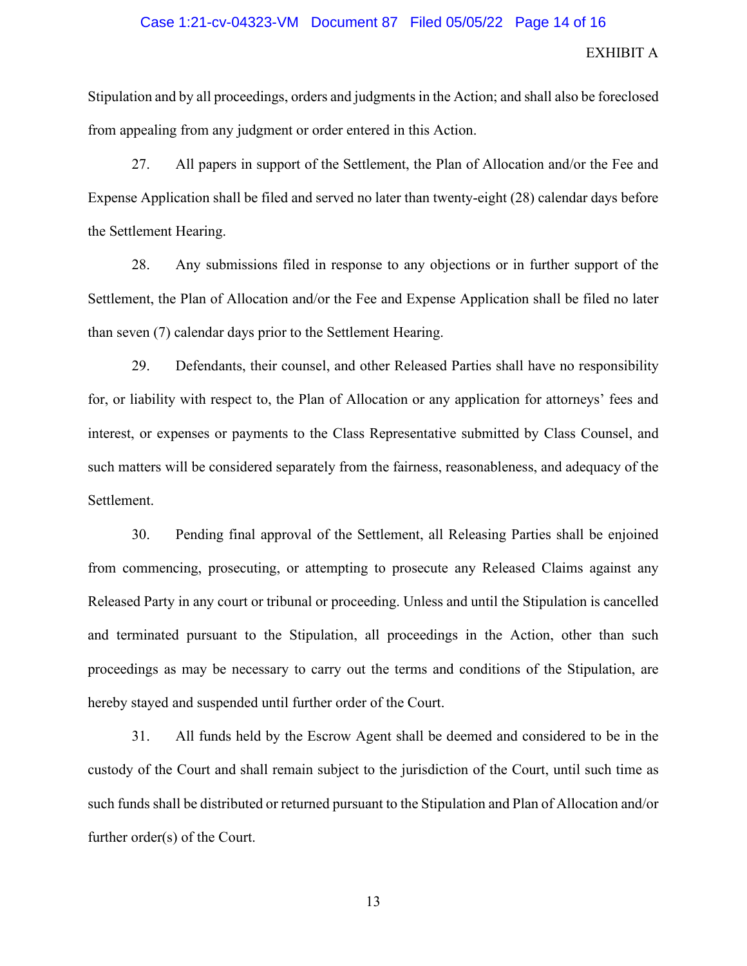### Case 1:21-cv-04323-VM Document 87 Filed 05/05/22 Page 14 of 16

## EXHIBIT A

Stipulation and by all proceedings, orders and judgments in the Action; and shall also be foreclosed from appealing from any judgment or order entered in this Action.

27. All papers in support of the Settlement, the Plan of Allocation and/or the Fee and Expense Application shall be filed and served no later than twenty-eight (28) calendar days before the Settlement Hearing.

28. Any submissions filed in response to any objections or in further support of the Settlement, the Plan of Allocation and/or the Fee and Expense Application shall be filed no later than seven (7) calendar days prior to the Settlement Hearing.

29. Defendants, their counsel, and other Released Parties shall have no responsibility for, or liability with respect to, the Plan of Allocation or any application for attorneys' fees and interest, or expenses or payments to the Class Representative submitted by Class Counsel, and such matters will be considered separately from the fairness, reasonableness, and adequacy of the Settlement.

30. Pending final approval of the Settlement, all Releasing Parties shall be enjoined from commencing, prosecuting, or attempting to prosecute any Released Claims against any Released Party in any court or tribunal or proceeding. Unless and until the Stipulation is cancelled and terminated pursuant to the Stipulation, all proceedings in the Action, other than such proceedings as may be necessary to carry out the terms and conditions of the Stipulation, are hereby stayed and suspended until further order of the Court.

31. All funds held by the Escrow Agent shall be deemed and considered to be in the custody of the Court and shall remain subject to the jurisdiction of the Court, until such time as such funds shall be distributed or returned pursuant to the Stipulation and Plan of Allocation and/or further order(s) of the Court.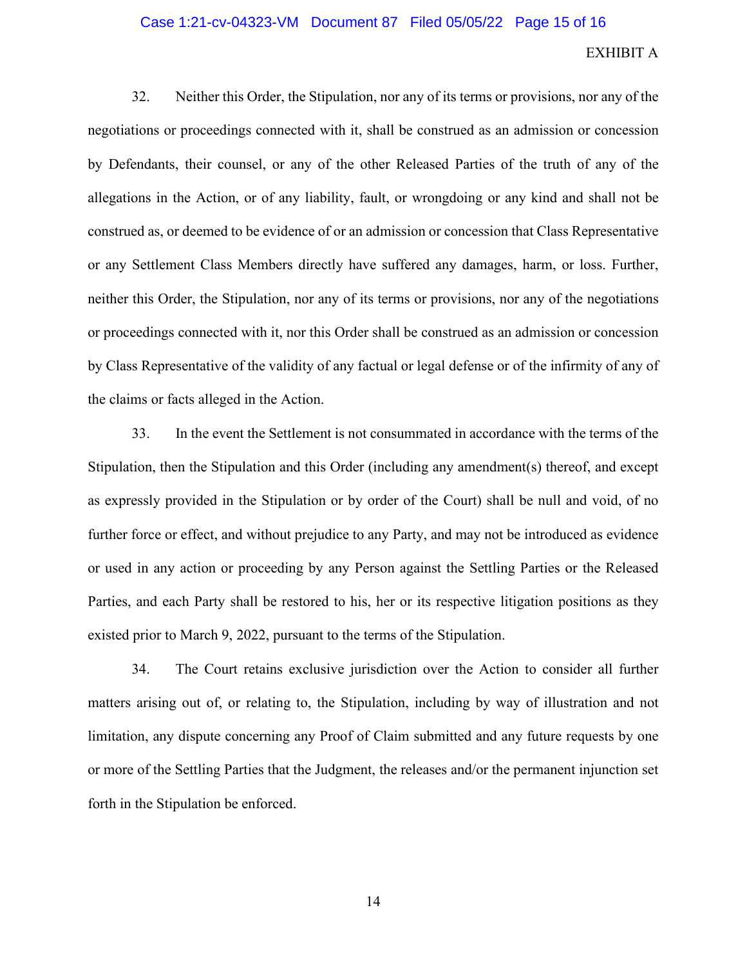### Case 1:21-cv-04323-VM Document 87 Filed 05/05/22 Page 15 of 16

# EXHIBIT A

32. Neither this Order, the Stipulation, nor any of its terms or provisions, nor any of the negotiations or proceedings connected with it, shall be construed as an admission or concession by Defendants, their counsel, or any of the other Released Parties of the truth of any of the allegations in the Action, or of any liability, fault, or wrongdoing or any kind and shall not be construed as, or deemed to be evidence of or an admission or concession that Class Representative or any Settlement Class Members directly have suffered any damages, harm, or loss. Further, neither this Order, the Stipulation, nor any of its terms or provisions, nor any of the negotiations or proceedings connected with it, nor this Order shall be construed as an admission or concession by Class Representative of the validity of any factual or legal defense or of the infirmity of any of the claims or facts alleged in the Action.

33. In the event the Settlement is not consummated in accordance with the terms of the Stipulation, then the Stipulation and this Order (including any amendment(s) thereof, and except as expressly provided in the Stipulation or by order of the Court) shall be null and void, of no further force or effect, and without prejudice to any Party, and may not be introduced as evidence or used in any action or proceeding by any Person against the Settling Parties or the Released Parties, and each Party shall be restored to his, her or its respective litigation positions as they existed prior to March 9, 2022, pursuant to the terms of the Stipulation.

34. The Court retains exclusive jurisdiction over the Action to consider all further matters arising out of, or relating to, the Stipulation, including by way of illustration and not limitation, any dispute concerning any Proof of Claim submitted and any future requests by one or more of the Settling Parties that the Judgment, the releases and/or the permanent injunction set forth in the Stipulation be enforced.